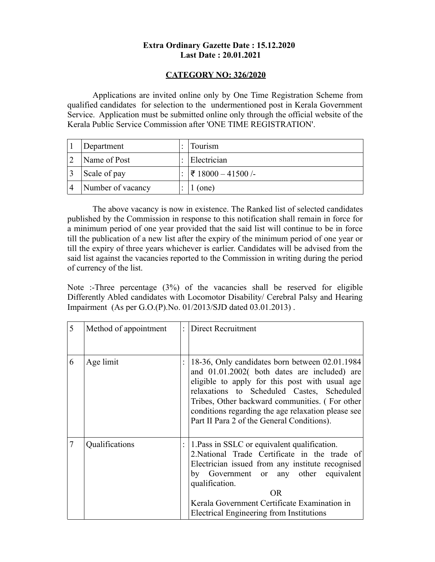## **Extra Ordinary Gazette Date : 15.12.2020 Last Date : 20.01.2021**

## **CATEGORY NO: 326/2020**

Applications are invited online only by One Time Registration Scheme from qualified candidates for selection to the undermentioned post in Kerala Government Service. Application must be submitted online only through the official website of the Kerala Public Service Commission after 'ONE TIME REGISTRATION'.

| Department        | Tourism                      |
|-------------------|------------------------------|
| Name of Post      | Electrician                  |
| Scale of pay      | $ \bar{z} $ 18000 − 41500 /- |
| Number of vacancy | (one)                        |

The above vacancy is now in existence. The Ranked list of selected candidates published by the Commission in response to this notification shall remain in force for a minimum period of one year provided that the said list will continue to be in force till the publication of a new list after the expiry of the minimum period of one year or till the expiry of three years whichever is earlier. Candidates will be advised from the said list against the vacancies reported to the Commission in writing during the period of currency of the list.

Note :-Three percentage (3%) of the vacancies shall be reserved for eligible Differently Abled candidates with Locomotor Disability/ Cerebral Palsy and Hearing Impairment (As per G.O.(P).No. 01/2013/SJD dated 03.01.2013) .

| 5 | Method of appointment | Direct Recruitment                                                                                                                                                                                                                                                                                                                                   |
|---|-----------------------|------------------------------------------------------------------------------------------------------------------------------------------------------------------------------------------------------------------------------------------------------------------------------------------------------------------------------------------------------|
| 6 | Age limit             | 18-36, Only candidates born between 02.01.1984<br>and 01.01.2002( both dates are included) are<br>eligible to apply for this post with usual age<br>relaxations to Scheduled Castes, Scheduled<br>Tribes, Other backward communities. (For other<br>conditions regarding the age relaxation please see<br>Part II Para 2 of the General Conditions). |
| 7 | Qualifications        | 1. Pass in SSLC or equivalent qualification.<br>2. National Trade Certificate in the trade of<br>Electrician issued from any institute recognised<br>by Government or any other equivalent<br>qualification.<br>OR.<br>Kerala Government Certificate Examination in<br>Electrical Engineering from Institutions                                      |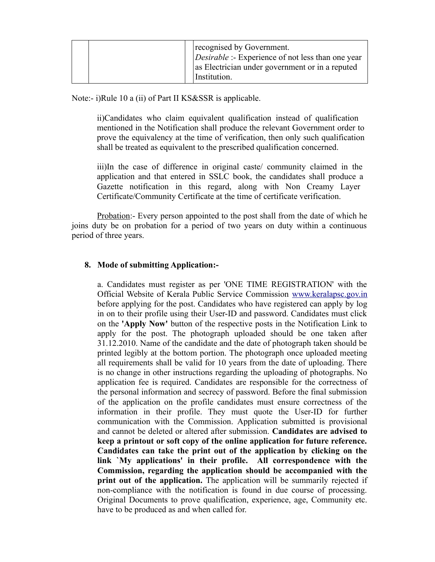|  | recognised by Government.<br><i>Desirable</i> :- Experience of not less than one year<br>as Electrician under government or in a reputed<br>Institution. |
|--|----------------------------------------------------------------------------------------------------------------------------------------------------------|
|--|----------------------------------------------------------------------------------------------------------------------------------------------------------|

Note:- i)Rule 10 a (ii) of Part II KS&SSR is applicable.

ii)Candidates who claim equivalent qualification instead of qualification mentioned in the Notification shall produce the relevant Government order to prove the equivalency at the time of verification, then only such qualification shall be treated as equivalent to the prescribed qualification concerned.

iii)In the case of difference in original caste/ community claimed in the application and that entered in SSLC book, the candidates shall produce a Gazette notification in this regard, along with Non Creamy Layer Certificate/Community Certificate at the time of certificate verification.

Probation:- Every person appointed to the post shall from the date of which he joins duty be on probation for a period of two years on duty within a continuous period of three years.

## **8. Mode of submitting Application:-**

a. Candidates must register as per 'ONE TIME REGISTRATION' with the Official Website of Kerala Public Service Commission [www.keralapsc.gov.in](http://www.kerealapsc.gov.in/) before applying for the post. Candidates who have registered can apply by log in on to their profile using their User-ID and password. Candidates must click on the **'Apply Now'** button of the respective posts in the Notification Link to apply for the post. The photograph uploaded should be one taken after 31.12.2010. Name of the candidate and the date of photograph taken should be printed legibly at the bottom portion. The photograph once uploaded meeting all requirements shall be valid for 10 years from the date of uploading. There is no change in other instructions regarding the uploading of photographs. No application fee is required. Candidates are responsible for the correctness of the personal information and secrecy of password. Before the final submission of the application on the profile candidates must ensure correctness of the information in their profile. They must quote the User-ID for further communication with the Commission. Application submitted is provisional and cannot be deleted or altered after submission. **Candidates are advised to keep a printout or soft copy of the online application for future reference. Candidates can take the print out of the application by clicking on the link `My applications' in their profile. All correspondence with the Commission, regarding the application should be accompanied with the print out of the application.** The application will be summarily rejected if non-compliance with the notification is found in due course of processing. Original Documents to prove qualification, experience, age, Community etc. have to be produced as and when called for.